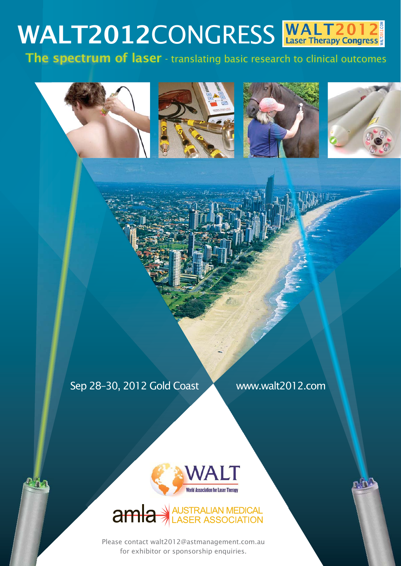# **WALT2012CONGRESS**<br>The spectrum of laser - translating basic research to clinical outcomes

The spectrum of laser - translating basic research to clinical outcomes



Sep 28-30, 2012 Gold Coast Www.walt2012.com



AUSTRALIAN MEDICAL<br>LASER ASSOCIATION  $amla*$ 

Please contact walt2012@astmanagement.com.au for exhibitor or sponsorship enquiries.